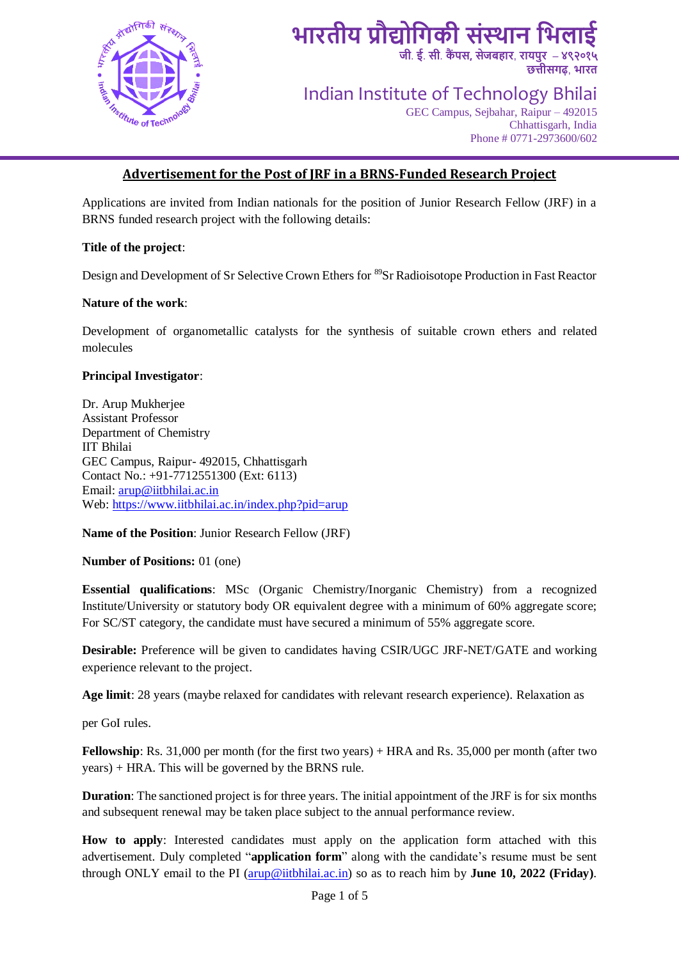

**जी**. **ई**. **सी**. **कैं पस, सेजबहार**, **रायपुर** – **४९२०१५ छत्तीसिढ़**, **भारत**

Indian Institute of Technology Bhilai

GEC Campus, Sejbahar, Raipur – 492015 Chhattisgarh, India Phone # 0771-2973600/602

#### **Advertisement for the Post of JRF in a BRNS-Funded Research Project**

Applications are invited from Indian nationals for the position of Junior Research Fellow (JRF) in a BRNS funded research project with the following details:

#### **Title of the project**:

Design and Development of Sr Selective Crown Ethers for <sup>89</sup>Sr Radioisotope Production in Fast Reactor

#### **Nature of the work**:

Development of organometallic catalysts for the synthesis of suitable crown ethers and related molecules

#### **Principal Investigator**:

Dr. Arup Mukherjee Assistant Professor Department of Chemistry IIT Bhilai GEC Campus, Raipur- 492015, Chhattisgarh Contact No.: +91-7712551300 (Ext: 6113) Email: [arup@iitbhilai.ac.in](mailto:arup@iitbhilai.ac.in) Web:<https://www.iitbhilai.ac.in/index.php?pid=arup>

**Name of the Position**: Junior Research Fellow (JRF)

#### **Number of Positions:** 01 (one)

**Essential qualifications**: MSc (Organic Chemistry/Inorganic Chemistry) from a recognized Institute/University or statutory body OR equivalent degree with a minimum of 60% aggregate score; For SC/ST category, the candidate must have secured a minimum of 55% aggregate score.

**Desirable:** Preference will be given to candidates having CSIR/UGC JRF-NET/GATE and working experience relevant to the project.

**Age limit**: 28 years (maybe relaxed for candidates with relevant research experience). Relaxation as

per GoI rules.

**Fellowship**: Rs. 31,000 per month (for the first two years) + HRA and Rs. 35,000 per month (after two years) + HRA. This will be governed by the BRNS rule.

**Duration**: The sanctioned project is for three years. The initial appointment of the JRF is for six months and subsequent renewal may be taken place subject to the annual performance review.

**How to apply**: Interested candidates must apply on the application form attached with this advertisement. Duly completed "**application form**" along with the candidate's resume must be sent through ONLY email to the PI [\(arup@iitbhilai.ac.in\)](mailto:arup@iitbhilai.ac.in) so as to reach him by **June 10, 2022 (Friday)**.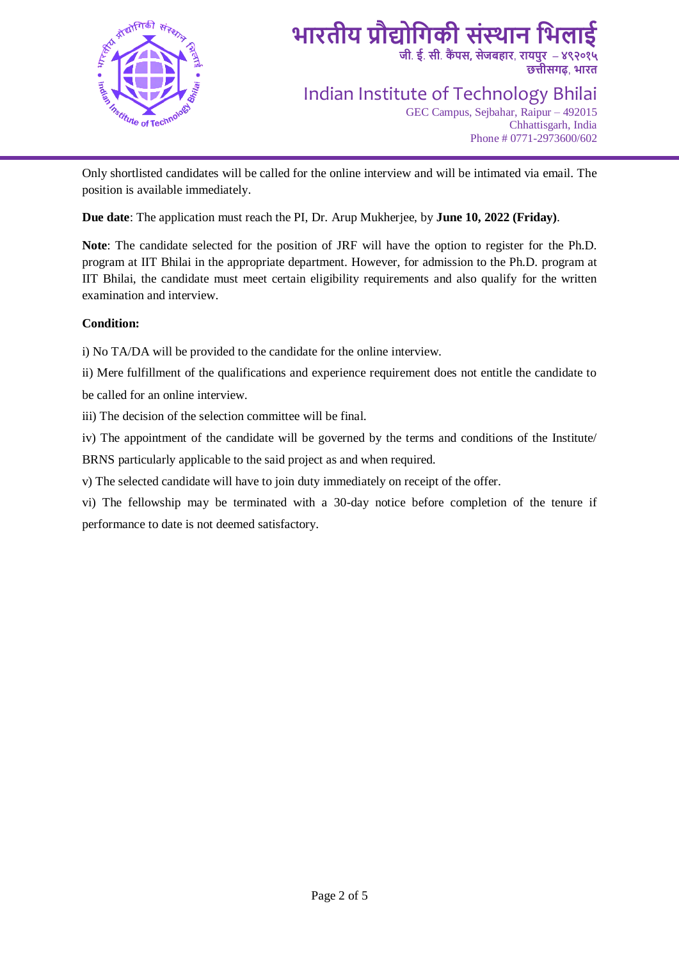

**जी**. **ई**. **सी**. **कैं पस, सेजबहार**, **रायपुर** – **४९२०१५ छत्तीसिढ़**, **भारत**

Indian Institute of Technology Bhilai

GEC Campus, Sejbahar, Raipur – 492015 Chhattisgarh, India Phone # 0771-2973600/602

Only shortlisted candidates will be called for the online interview and will be intimated via email. The position is available immediately.

**Due date**: The application must reach the PI, Dr. Arup Mukherjee, by **June 10, 2022 (Friday)**.

**Note**: The candidate selected for the position of JRF will have the option to register for the Ph.D. program at IIT Bhilai in the appropriate department. However, for admission to the Ph.D. program at IIT Bhilai, the candidate must meet certain eligibility requirements and also qualify for the written examination and interview.

#### **Condition:**

i) No TA/DA will be provided to the candidate for the online interview.

ii) Mere fulfillment of the qualifications and experience requirement does not entitle the candidate to be called for an online interview.

iii) The decision of the selection committee will be final.

iv) The appointment of the candidate will be governed by the terms and conditions of the Institute/ BRNS particularly applicable to the said project as and when required.

v) The selected candidate will have to join duty immediately on receipt of the offer.

vi) The fellowship may be terminated with a 30-day notice before completion of the tenure if performance to date is not deemed satisfactory.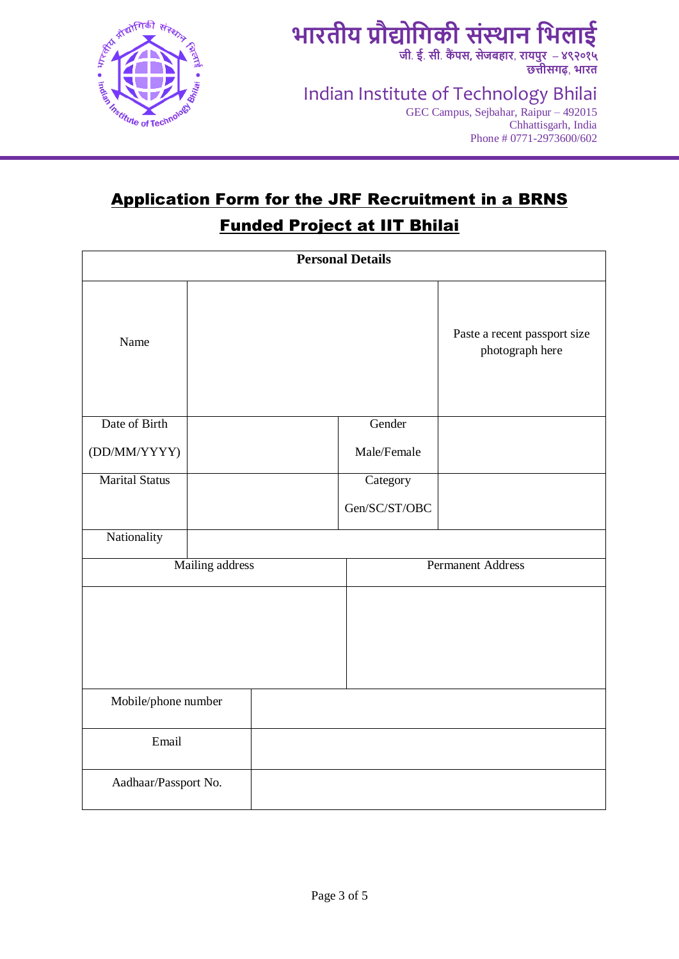

**जी**. **ई**. **सी**. **कैं पस, सेजबहार**, **रायपुर** – **४९२०१५ छत्तीसिढ़**, **भारत**

Indian Institute of Technology Bhilai

GEC Campus, Sejbahar, Raipur – 492015 Chhattisgarh, India Phone # 0771-2973600/602

## Application Form for the JRF Recruitment in a BRNS Funded Project at IIT Bhilai

| <b>Personal Details</b> |  |                          |               |                                                 |  |  |
|-------------------------|--|--------------------------|---------------|-------------------------------------------------|--|--|
| Name                    |  |                          |               | Paste a recent passport size<br>photograph here |  |  |
| Date of Birth           |  |                          | Gender        |                                                 |  |  |
| (DD/MM/YYYY)            |  |                          | Male/Female   |                                                 |  |  |
| <b>Marital Status</b>   |  |                          | Category      |                                                 |  |  |
|                         |  |                          | Gen/SC/ST/OBC |                                                 |  |  |
| Nationality             |  |                          |               |                                                 |  |  |
| Mailing address         |  | <b>Permanent Address</b> |               |                                                 |  |  |
|                         |  |                          |               |                                                 |  |  |
| Mobile/phone number     |  |                          |               |                                                 |  |  |
| Email                   |  |                          |               |                                                 |  |  |
| Aadhaar/Passport No.    |  |                          |               |                                                 |  |  |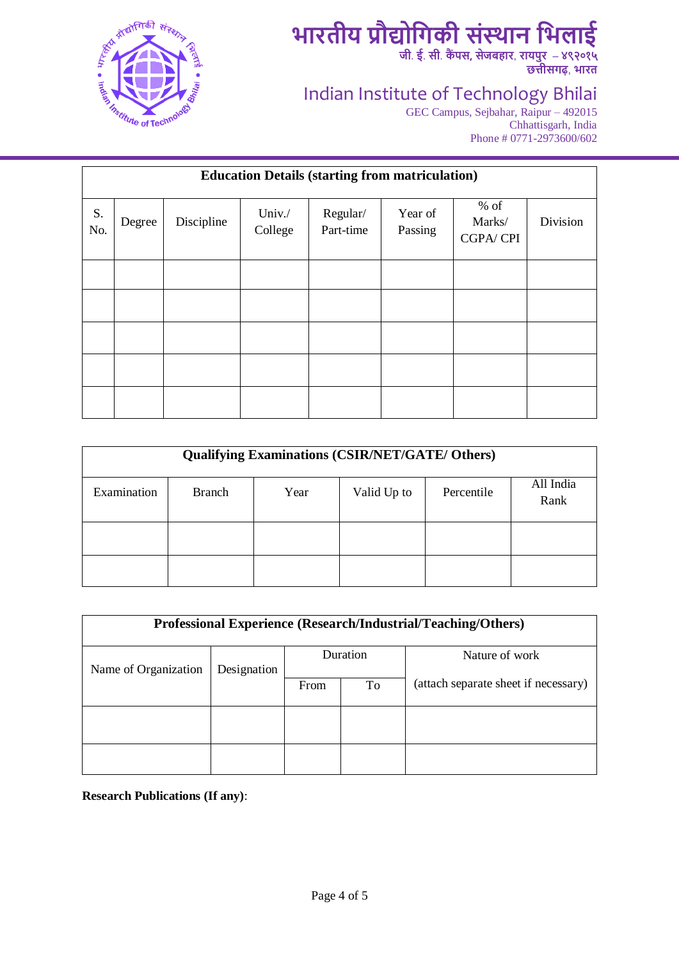

**जी**. **ई**. **सी**. **कैं पस, सेजबहार**, **रायपुर** – **४९२०१५ छत्तीसिढ़**, **भारत**

### Indian Institute of Technology Bhilai

GEC Campus, Sejbahar, Raipur – 492015 Chhattisgarh, India Phone # 0771-2973600/602

| <b>Education Details (starting from matriculation)</b> |        |            |                   |                       |                    |                              |          |
|--------------------------------------------------------|--------|------------|-------------------|-----------------------|--------------------|------------------------------|----------|
| S.<br>No.                                              | Degree | Discipline | Univ./<br>College | Regular/<br>Part-time | Year of<br>Passing | $%$ of<br>Marks/<br>CGPA/CPI | Division |
|                                                        |        |            |                   |                       |                    |                              |          |
|                                                        |        |            |                   |                       |                    |                              |          |
|                                                        |        |            |                   |                       |                    |                              |          |
|                                                        |        |            |                   |                       |                    |                              |          |
|                                                        |        |            |                   |                       |                    |                              |          |

| <b>Qualifying Examinations (CSIR/NET/GATE/ Others)</b> |               |      |             |            |                   |  |
|--------------------------------------------------------|---------------|------|-------------|------------|-------------------|--|
| Examination                                            | <b>Branch</b> | Year | Valid Up to | Percentile | All India<br>Rank |  |
|                                                        |               |      |             |            |                   |  |
|                                                        |               |      |             |            |                   |  |

| <b>Professional Experience (Research/Industrial/Teaching/Others)</b> |             |          |    |                                      |  |  |
|----------------------------------------------------------------------|-------------|----------|----|--------------------------------------|--|--|
| Name of Organization                                                 | Designation | Duration |    | Nature of work                       |  |  |
|                                                                      |             | From     | To | (attach separate sheet if necessary) |  |  |
|                                                                      |             |          |    |                                      |  |  |
|                                                                      |             |          |    |                                      |  |  |

**Research Publications (If any)**: